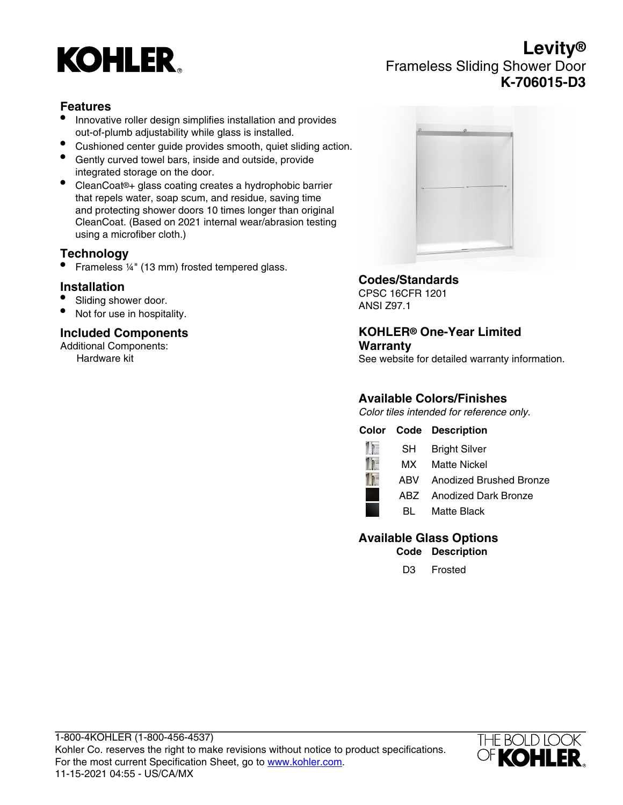# **KOHLER**

## **Levity®** Frameless Sliding Shower Door **K-706015-D3**

### **Features**

- Innovative roller design simplifies installation and provides out-of-plumb adjustability while glass is installed.
- Cushioned center guide provides smooth, quiet sliding action.
- Gently curved towel bars, inside and outside, provide integrated storage on the door.
- CleanCoat®+ glass coating creates a hydrophobic barrier that repels water, soap scum, and residue, saving time and protecting shower doors 10 times longer than original CleanCoat. (Based on 2021 internal wear/abrasion testing using a microfiber cloth.)

#### **Technology**

• Frameless 1/4" (13 mm) frosted tempered glass.

#### **Installation**

- Sliding shower door.
- Not for use in hospitality.

## **Included Components**

Additional Components: Hardware kit



#### **Codes/Standards**

CPSC 16CFR 1201 ANSI Z97.1

#### **KOHLER® One-Year Limited Warranty**

See website for detailed warranty information.

## **Available Colors/Finishes**

Color tiles intended for reference only.

#### **Color Code Description**



## **Available Glass Options**

**Code Description**

D3 Frosted